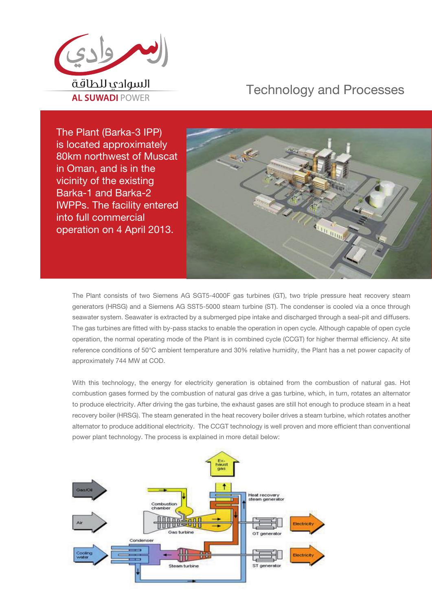

## Technology and Processes

The Plant (Barka-3 IPP) is located approximately 80km northwest of Muscat in Oman, and is in the vicinity of the existing Barka-1 and Barka-2 IWPPs. The facility entered into full commercial operation on 4 April 2013.



The Plant consists of two Siemens AG SGT5-4000F gas turbines (GT), two triple pressure heat recovery steam generators (HRSG) and a Siemens AG SST5-5000 steam turbine (ST). The condenser is cooled via a once through seawater system. Seawater is extracted by a submerged pipe intake and discharged through a seal-pit and diffusers. The gas turbines are fitted with by-pass stacks to enable the operation in open cycle. Although capable of open cycle operation, the normal operating mode of the Plant is in combined cycle (CCGT) for higher thermal efficiency. At site reference conditions of 50°C ambient temperature and 30% relative humidity, the Plant has a net power capacity of approximately 744 MW at COD.

With this technology, the energy for electricity generation is obtained from the combustion of natural gas. Hot combustion gases formed by the combustion of natural gas drive a gas turbine, which, in turn, rotates an alternator to produce electricity. After driving the gas turbine, the exhaust gases are still hot enough to produce steam in a heat recovery boiler (HRSG). The steam generated in the heat recovery boiler drives a steam turbine, which rotates another alternator to produce additional electricity. The CCGT technology is well proven and more efficient than conventional power plant technology. The process is explained in more detail below: